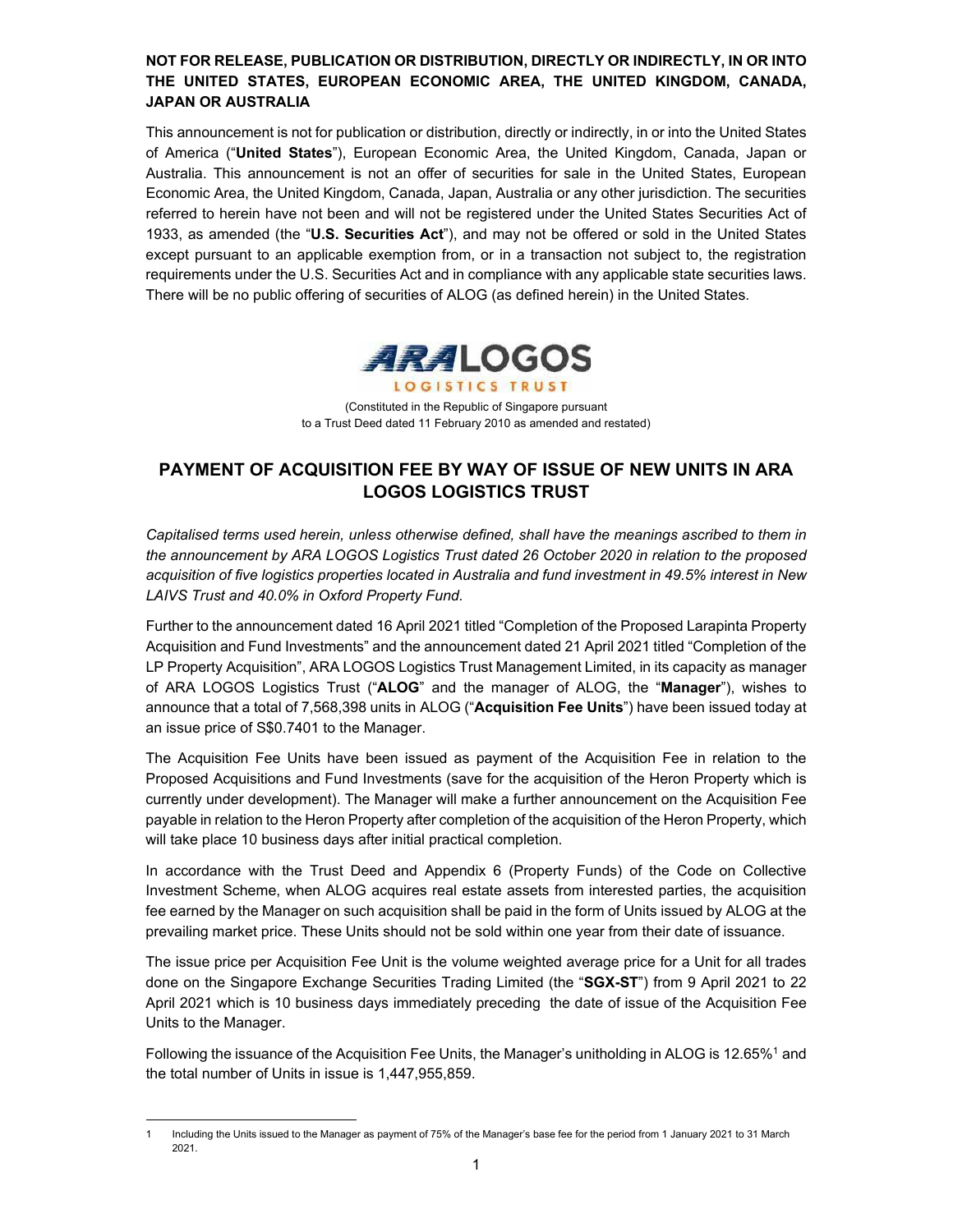#### **NOT FOR RELEASE, PUBLICATION OR DISTRIBUTION, DIRECTLY OR INDIRECTLY, IN OR INTO THE UNITED STATES, EUROPEAN ECONOMIC AREA, THE UNITED KINGDOM, CANADA, JAPAN OR AUSTRALIA**

This announcement is not for publication or distribution, directly or indirectly, in or into the United States of America ("**United States**"), European Economic Area, the United Kingdom, Canada, Japan or Australia. This announcement is not an offer of securities for sale in the United States, European Economic Area, the United Kingdom, Canada, Japan, Australia or any other jurisdiction. The securities referred to herein have not been and will not be registered under the United States Securities Act of 1933, as amended (the "**U.S. Securities Act**"), and may not be offered or sold in the United States except pursuant to an applicable exemption from, or in a transaction not subject to, the registration requirements under the U.S. Securities Act and in compliance with any applicable state securities laws. There will be no public offering of securities of ALOG (as defined herein) in the United States.



(Constituted in the Republic of Singapore pursuant to a Trust Deed dated 11 February 2010 as amended and restated)

# **PAYMENT OF ACQUISITION FEE BY WAY OF ISSUE OF NEW UNITS IN ARA LOGOS LOGISTICS TRUST**

*Capitalised terms used herein, unless otherwise defined, shall have the meanings ascribed to them in the announcement by ARA LOGOS Logistics Trust dated 26 October 2020 in relation to the proposed acquisition of five logistics properties located in Australia and fund investment in 49.5% interest in New LAIVS Trust and 40.0% in Oxford Property Fund.* 

Further to the announcement dated 16 April 2021 titled "Completion of the Proposed Larapinta Property Acquisition and Fund Investments" and the announcement dated 21 April 2021 titled "Completion of the LP Property Acquisition", ARA LOGOS Logistics Trust Management Limited, in its capacity as manager of ARA LOGOS Logistics Trust ("**ALOG**" and the manager of ALOG, the "**Manager**"), wishes to announce that a total of 7,568,398 units in ALOG ("**Acquisition Fee Units**") have been issued today at an issue price of S\$0.7401 to the Manager.

The Acquisition Fee Units have been issued as payment of the Acquisition Fee in relation to the Proposed Acquisitions and Fund Investments (save for the acquisition of the Heron Property which is currently under development). The Manager will make a further announcement on the Acquisition Fee payable in relation to the Heron Property after completion of the acquisition of the Heron Property, which will take place 10 business days after initial practical completion.

In accordance with the Trust Deed and Appendix 6 (Property Funds) of the Code on Collective Investment Scheme, when ALOG acquires real estate assets from interested parties, the acquisition fee earned by the Manager on such acquisition shall be paid in the form of Units issued by ALOG at the prevailing market price. These Units should not be sold within one year from their date of issuance.

The issue price per Acquisition Fee Unit is the volume weighted average price for a Unit for all trades done on the Singapore Exchange Securities Trading Limited (the "**SGX-ST**") from 9 April 2021 to 22 April 2021 which is 10 business days immediately preceding the date of issue of the Acquisition Fee Units to the Manager.

Following the issuance of the Acquisition Fee Units, the Manager's unitholding in ALOG is 12.65%<sup>1</sup> and the total number of Units in issue is 1,447,955,859.

<sup>1</sup> Including the Units issued to the Manager as payment of 75% of the Manager's base fee for the period from 1 January 2021 to 31 March 2021.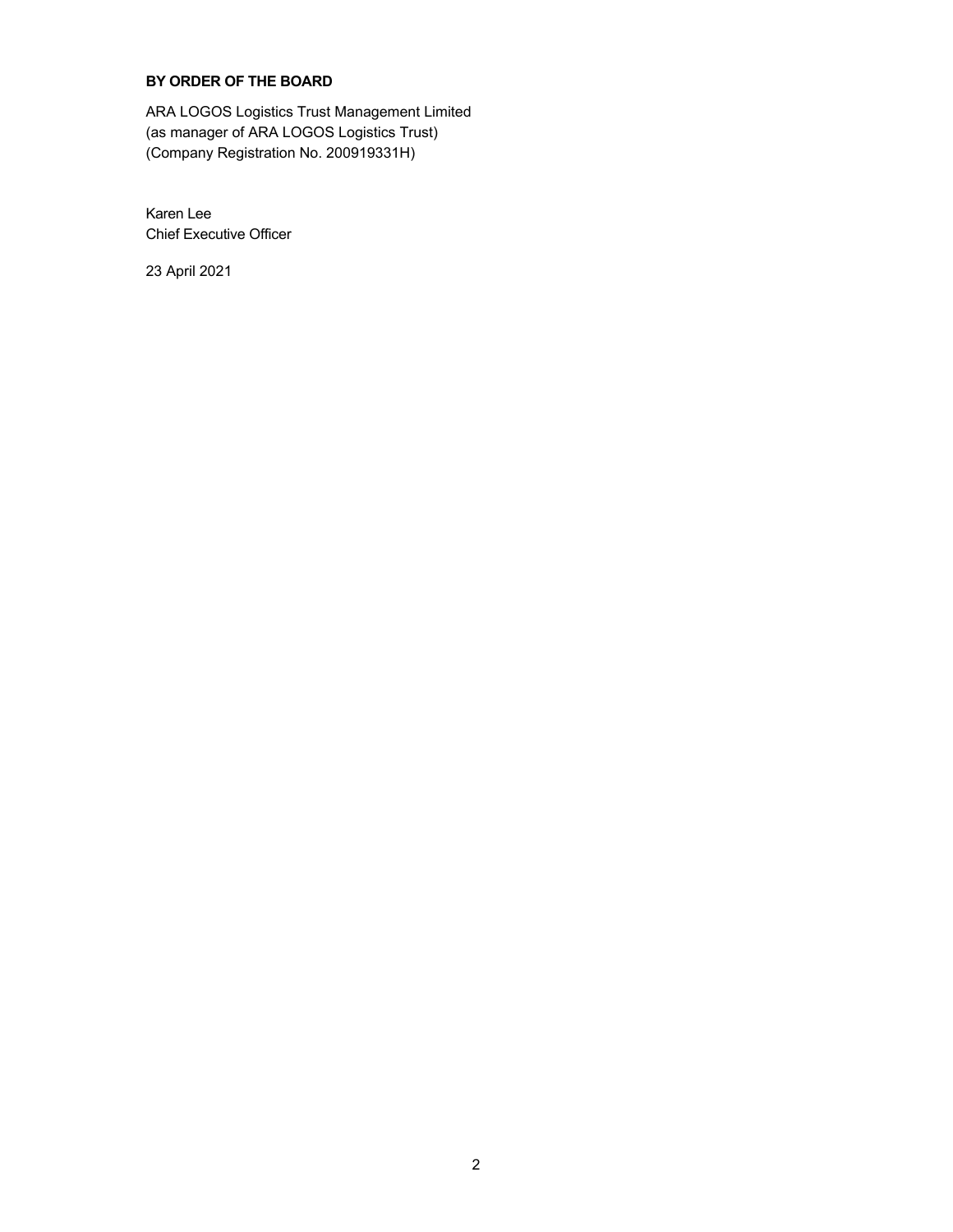## **BY ORDER OF THE BOARD**

ARA LOGOS Logistics Trust Management Limited (as manager of ARA LOGOS Logistics Trust) (Company Registration No. 200919331H)

Karen Lee Chief Executive Officer

23 April 2021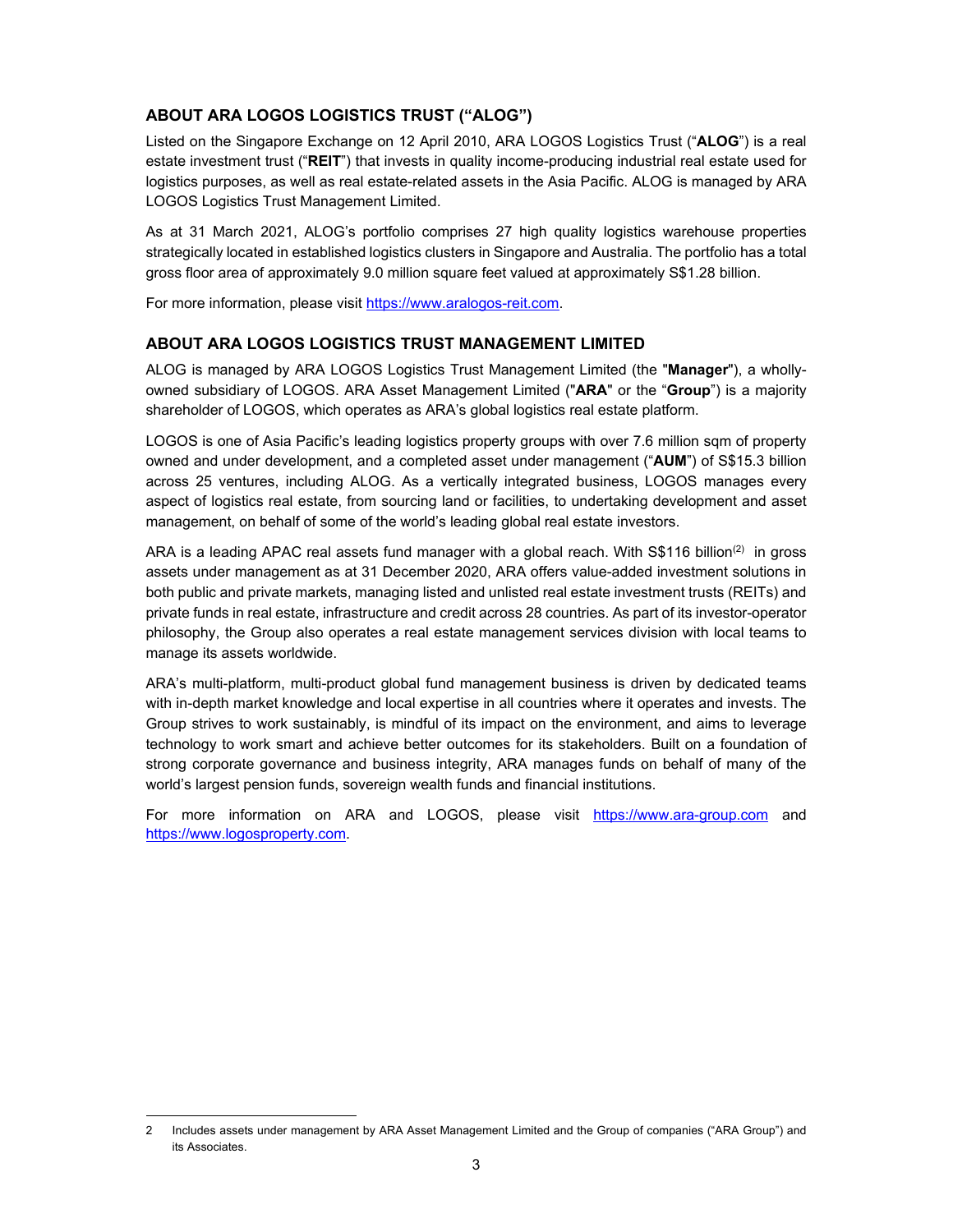### **ABOUT ARA LOGOS LOGISTICS TRUST ("ALOG")**

Listed on the Singapore Exchange on 12 April 2010, ARA LOGOS Logistics Trust ("**ALOG**") is a real estate investment trust ("**REIT**") that invests in quality income-producing industrial real estate used for logistics purposes, as well as real estate-related assets in the Asia Pacific. ALOG is managed by ARA LOGOS Logistics Trust Management Limited.

As at 31 March 2021, ALOG's portfolio comprises 27 high quality logistics warehouse properties strategically located in established logistics clusters in Singapore and Australia. The portfolio has a total gross floor area of approximately 9.0 million square feet valued at approximately S\$1.28 billion.

For more information, please visit https://www.aralogos-reit.com.

#### **ABOUT ARA LOGOS LOGISTICS TRUST MANAGEMENT LIMITED**

ALOG is managed by ARA LOGOS Logistics Trust Management Limited (the "**Manager**"), a whollyowned subsidiary of LOGOS. ARA Asset Management Limited ("**ARA**" or the "**Group**") is a majority shareholder of LOGOS, which operates as ARA's global logistics real estate platform.

LOGOS is one of Asia Pacific's leading logistics property groups with over 7.6 million sqm of property owned and under development, and a completed asset under management ("**AUM**") of S\$15.3 billion across 25 ventures, including ALOG. As a vertically integrated business, LOGOS manages every aspect of logistics real estate, from sourcing land or facilities, to undertaking development and asset management, on behalf of some of the world's leading global real estate investors.

ARA is a leading APAC real assets fund manager with a global reach. With  $\mathsf{S}\$116$  billion<sup>(2)</sup> in gross assets under management as at 31 December 2020, ARA offers value-added investment solutions in both public and private markets, managing listed and unlisted real estate investment trusts (REITs) and private funds in real estate, infrastructure and credit across 28 countries. As part of its investor-operator philosophy, the Group also operates a real estate management services division with local teams to manage its assets worldwide.

ARA's multi-platform, multi-product global fund management business is driven by dedicated teams with in-depth market knowledge and local expertise in all countries where it operates and invests. The Group strives to work sustainably, is mindful of its impact on the environment, and aims to leverage technology to work smart and achieve better outcomes for its stakeholders. Built on a foundation of strong corporate governance and business integrity, ARA manages funds on behalf of many of the world's largest pension funds, sovereign wealth funds and financial institutions.

For more information on ARA and LOGOS, please visit https://www.ara-group.com and https://www.logosproperty.com.

<sup>2</sup> Includes assets under management by ARA Asset Management Limited and the Group of companies ("ARA Group") and its Associates.